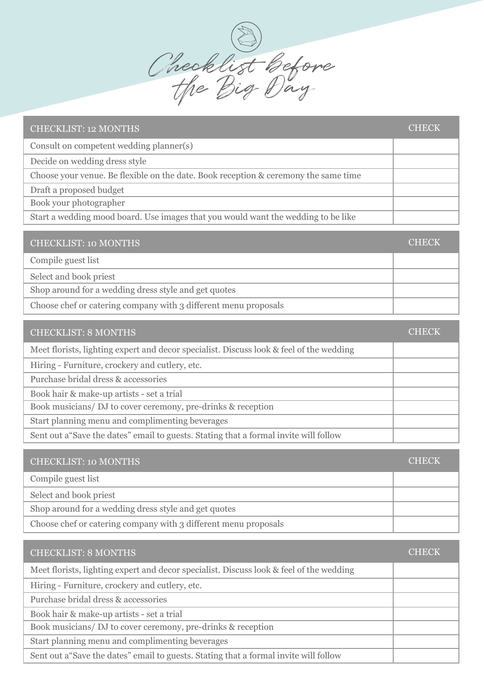Checklist before the Big Day

| <b>CHECKLIST: 12 MONTHS</b>                                                         | <b>CHECK</b> |
|-------------------------------------------------------------------------------------|--------------|
| Consult on competent wedding planner(s)                                             |              |
| Decide on wedding dress style                                                       |              |
| Choose your venue. Be flexible on the date. Book reception & ceremony the same time |              |
| Draft a proposed budget                                                             |              |
| Book your photographer                                                              |              |
| Start a wedding mood board. Use images that you would want the wedding to be like   |              |
|                                                                                     |              |
| <b>CHECKLIST: 10 MONTHS</b>                                                         |              |

| Compile guest list                                              |  |
|-----------------------------------------------------------------|--|
| Select and book priest                                          |  |
| Shop around for a wedding dress style and get quotes            |  |
| Choose chef or catering company with 3 different menu proposals |  |

| <b>CHECKLIST: 8 MONTHS</b>                                                              | CHECK |
|-----------------------------------------------------------------------------------------|-------|
| Meet florists, lighting expert and decor specialist. Discuss look & feel of the wedding |       |
| Hiring - Furniture, crockery and cutlery, etc.                                          |       |
| Purchase bridal dress & accessories                                                     |       |
| Book hair & make-up artists - set a trial                                               |       |
| Book musicians/DJ to cover ceremony, pre-drinks & reception                             |       |
| Start planning menu and complimenting beverages                                         |       |
| Sent out a "Save the dates" email to guests. Stating that a formal invite will follow   |       |

| <b>CHECKLIST: 10 MONTHS</b>                                     | <b>CHECK</b> |
|-----------------------------------------------------------------|--------------|
| Compile guest list                                              |              |
| Select and book priest                                          |              |
| Shop around for a wedding dress style and get quotes            |              |
| Choose chef or catering company with 3 different menu proposals |              |

| <b>CHECKLIST: 8 MONTHS</b>                                                              | CHECK |
|-----------------------------------------------------------------------------------------|-------|
| Meet florists, lighting expert and decor specialist. Discuss look & feel of the wedding |       |
| Hiring - Furniture, crockery and cutlery, etc.                                          |       |
| Purchase bridal dress & accessories                                                     |       |
| Book hair & make-up artists - set a trial                                               |       |
| Book musicians/DJ to cover ceremony, pre-drinks & reception                             |       |
| Start planning menu and complimenting beverages                                         |       |
| Sent out a "Save the dates" email to guests. Stating that a formal invite will follow   |       |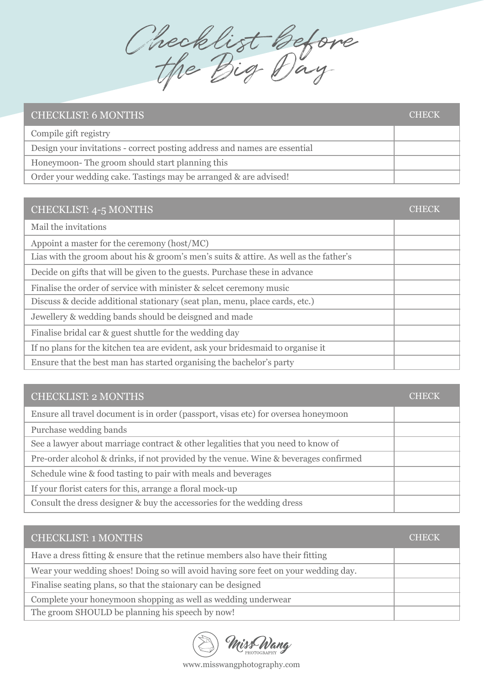Checklist before the Big Day

| <b>CHECKLIST: 6 MONTHS</b>                                                | CHECK |
|---------------------------------------------------------------------------|-------|
| Compile gift registry                                                     |       |
| Design your invitations - correct posting address and names are essential |       |
| Honeymoon-The groom should start planning this                            |       |
| Order your wedding cake. Tastings may be arranged & are advised!          |       |

| CHECKLIST: 4-5 MONTHS                                                                 | CHECK |
|---------------------------------------------------------------------------------------|-------|
| Mail the invitations                                                                  |       |
| Appoint a master for the ceremony (host/MC)                                           |       |
| Lias with the groom about his & groom's men's suits & attire. As well as the father's |       |
| Decide on gifts that will be given to the guests. Purchase these in advance           |       |
| Finalise the order of service with minister & select ceremony music                   |       |
| Discuss & decide additional stationary (seat plan, menu, place cards, etc.)           |       |
| Jewellery & wedding bands should be deisgned and made                                 |       |
| Finalise bridal car & guest shuttle for the wedding day                               |       |
| If no plans for the kitchen tea are evident, ask your bridesmaid to organise it       |       |
| Ensure that the best man has started organising the bachelor's party                  |       |

| <b>CHECKLIST: 2 MONTHS</b>                                                           | CHECK |
|--------------------------------------------------------------------------------------|-------|
| Ensure all travel document is in order (passport, visas etc) for oversea honeymoon   |       |
| Purchase wedding bands                                                               |       |
| See a lawyer about marriage contract & other legalities that you need to know of     |       |
| Pre-order alcohol & drinks, if not provided by the venue. Wine & beverages confirmed |       |
| Schedule wine & food tasting to pair with meals and beverages                        |       |
| If your florist caters for this, arrange a floral mock-up                            |       |
| Consult the dress designer & buy the accessories for the wedding dress               |       |

| <b>CHECKLIST: 1 MONTHS</b>                                                         | CHECK |
|------------------------------------------------------------------------------------|-------|
| Have a dress fitting & ensure that the retinue members also have their fitting     |       |
| Wear your wedding shoes! Doing so will avoid having sore feet on your wedding day. |       |
| Finalise seating plans, so that the staionary can be designed                      |       |
| Complete your honeymoon shopping as well as wedding underwear                      |       |
| The groom SHOULD be planning his speech by now!                                    |       |

Miss Wang

www.misswangphotography.com